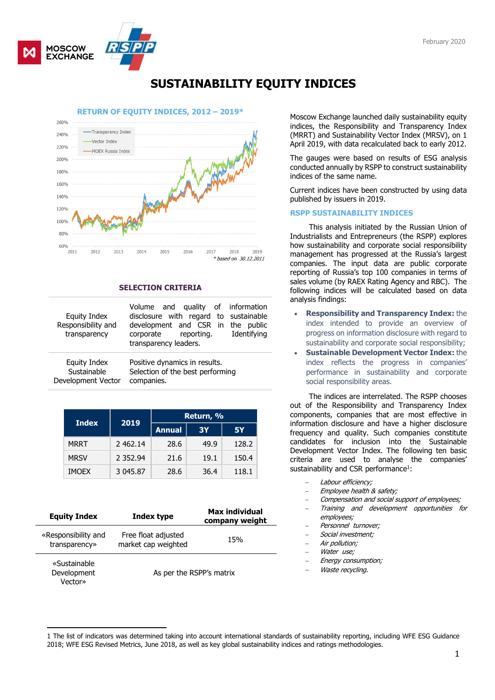

# SUSTAINABILITY EQUITY INDICES



## SELECTION CRITERIA

| Equity Index<br>Responsibility and<br>transparency | Volume and quality of information<br>disclosure with regard to sustainable<br>development and CSR in the public<br>Identifying<br>corporate<br>reporting.<br>transparency leaders. |  |  |
|----------------------------------------------------|------------------------------------------------------------------------------------------------------------------------------------------------------------------------------------|--|--|
| <b>Equity Index</b>                                | Positive dynamics in results.                                                                                                                                                      |  |  |
| Sustainable                                        | Selection of the best performing                                                                                                                                                   |  |  |
| Development Vector                                 | companies.                                                                                                                                                                         |  |  |

| <b>Index</b> | 2019          | Return, %     |      |           |  |
|--------------|---------------|---------------|------|-----------|--|
|              |               | <b>Annual</b> | 3Y   | <b>5Y</b> |  |
| <b>MRRT</b>  | 2 462.14      | 28.6          | 49.9 | 128.2     |  |
| <b>MRSV</b>  | 2 3 5 2 . 9 4 | 21.6          | 19.1 | 150.4     |  |
| <b>IMOEX</b> | 3 045.87      | 28.6          | 36.4 | 118.1     |  |

| <b>Equity Index</b>                    | Index type                                 | <b>Max individual</b><br>company weight |  |
|----------------------------------------|--------------------------------------------|-----------------------------------------|--|
| «Responsibility and<br>transparency»   | Free float adjusted<br>market cap weighted | 15%                                     |  |
| «Sustainable<br>Development<br>Vector» | As per the RSPP's matrix                   |                                         |  |

indices, the Responsibility and Transparency Index (MRRT) and Sustainability Vector Index (MRSV), on 1 April 2019, with data recalculated back to early 2012.

The gauges were based on results of ESG analysis conducted annually by RSPP to construct sustainability indices of the same name.

Current indices have been constructed by using data published by issuers in 2019.

#### RSPP SUSTAINABILITY INDICES

This analysis initiated by the Russian Union of Industrialists and Entrepreneurs (the RSPP) explores how sustainability and corporate social responsibility management has progressed at the Russia's largest companies. The input data are public corporate reporting of Russia's top 100 companies in terms of sales volume (by RAEX Rating Agency and RBC). The following indices will be calculated based on data analysis findings:

- Responsibility and Transparency Index: the index intended to provide an overview of progress on information disclosure with regard to sustainability and corporate social responsibility;
- Sustainable Development Vector Index: the index reflects the progress in companies' performance in sustainability and corporate social responsibility areas.

The indices are interrelated. The RSPP chooses out of the Responsibility and Transparency Index components, companies that are most effective in information disclosure and have a higher disclosure frequency and quality. Such companies constitute candidates for inclusion into the Sustainable Development Vector Index. The following ten basic criteria are used to analyse the companies' sustainability and CSR performance<sup>1</sup>:

- Labour efficiency;
- Employee health & safety;
- Compensation and social support of employees;
- Training and development opportunities for employees;
- Personnel turnover;
- Social investment;
- Air pollution;
- Water use:
- Energy consumption;
- Waste recycling.

<sup>-</sup>1 The list of indicators was determined taking into account international standards of sustainability reporting, including WFE ESG Guidance 2018; WFE ESG Revised Metrics, June 2018, as well as key global sustainability indices and ratings methodologies.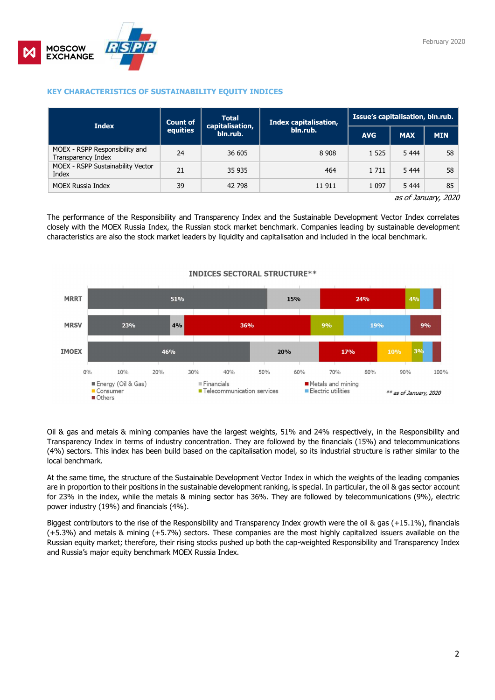

#### February 2020

## KEY CHARACTERISTICS OF SUSTAINABILITY EQUITY INDICES

| <b>Index</b>                                         | <b>Count of</b> | <b>Total</b><br>capitalisation,<br>bln.rub. | Index capitalisation,<br>bln.rub. | Issue's capitalisation, bln.rub. |            |            |
|------------------------------------------------------|-----------------|---------------------------------------------|-----------------------------------|----------------------------------|------------|------------|
|                                                      | equities        |                                             |                                   | <b>AVG</b>                       | <b>MAX</b> | <b>MIN</b> |
| MOEX - RSPP Responsibility and<br>Transparency Index | 24              | 36 605                                      | 8 9 0 8                           | 1 5 2 5                          | 5 4 4 4    | 58         |
| <b>MOEX - RSPP Sustainability Vector</b><br>Index    | 21              | 35 935                                      | 464                               | 1 7 1 1                          | 5 4 4 4    | 58         |
| <b>MOEX Russia Index</b>                             | 39              | 42 798                                      | 11 911                            | 1 0 9 7                          | 5 4 4 4    | 85         |

as of January, 2020

The performance of the Responsibility and Transparency Index and the Sustainable Development Vector Index correlates closely with the MOEX Russia Index, the Russian stock market benchmark. Companies leading by sustainable development characteristics are also the stock market leaders by liquidity and capitalisation and included in the local benchmark.



### **INDICES SECTORAL STRUCTURE\*\***

Oil & gas and metals & mining companies have the largest weights, 51% and 24% respectively, in the Responsibility and Transparency Index in terms of industry concentration. They are followed by the financials (15%) and telecommunications (4%) sectors. This index has been build based on the capitalisation model, so its industrial structure is rather similar to the local benchmark.

At the same time, the structure of the Sustainable Development Vector Index in which the weights of the leading companies are in proportion to their positions in the sustainable development ranking, is special. In particular, the oil & gas sector account for 23% in the index, while the metals & mining sector has 36%. They are followed by telecommunications (9%), electric power industry (19%) and financials (4%).

Biggest contributors to the rise of the Responsibility and Transparency Index growth were the oil & gas (+15.1%), financials (+5.3%) and metals & mining (+5.7%) sectors. These companies are the most highly capitalized issuers available on the Russian equity market; therefore, their rising stocks pushed up both the cap-weighted Responsibility and Transparency Index and Russia's major equity benchmark MOEX Russia Index.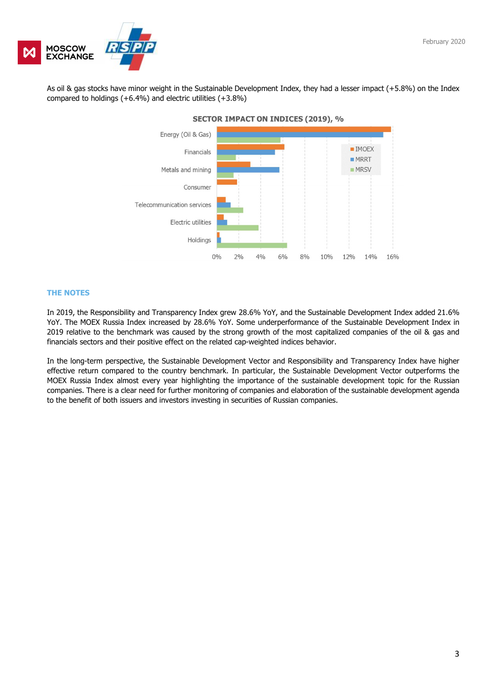

As oil & gas stocks have minor weight in the Sustainable Development Index, they had a lesser impact (+5.8%) on the Index compared to holdings  $(+6.4\%)$  and electric utilities  $(+3.8\%)$ 



### THE NOTES

In 2019, the Responsibility and Transparency Index grew 28.6% YoY, and the Sustainable Development Index added 21.6% YoY. The MOEX Russia Index increased by 28.6% YoY. Some underperformance of the Sustainable Development Index in 2019 relative to the benchmark was caused by the strong growth of the most capitalized companies of the oil & gas and financials sectors and their positive effect on the related cap-weighted indices behavior.

In the long-term perspective, the Sustainable Development Vector and Responsibility and Transparency Index have higher effective return compared to the country benchmark. In particular, the Sustainable Development Vector outperforms the MOEX Russia Index almost every year highlighting the importance of the sustainable development topic for the Russian companies. There is a clear need for further monitoring of companies and elaboration of the sustainable development agenda to the benefit of both issuers and investors investing in securities of Russian companies.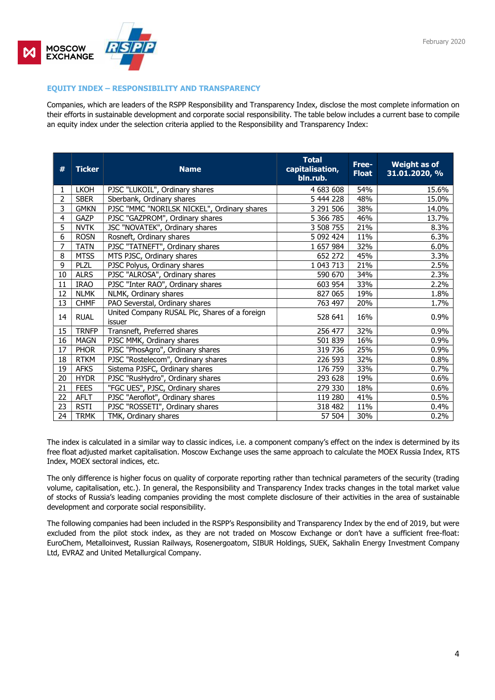

## EQUITY INDEX – RESPONSIBILITY AND TRANSPARENCY

Companies, which are leaders of the RSPP Responsibility and Transparency Index, disclose the most complete information on their efforts in sustainable development and corporate social responsibility. The table below includes a current base to compile an equity index under the selection criteria applied to the Responsibility and Transparency Index:

| #              | <b>Ticker</b> | <b>Name</b>                                             | <b>Total</b><br>capitalisation,<br>bln.rub. | Free-<br><b>Float</b> | <b>Weight as of</b><br>31.01.2020, % |
|----------------|---------------|---------------------------------------------------------|---------------------------------------------|-----------------------|--------------------------------------|
| 1              | <b>LKOH</b>   | PJSC "LUKOIL", Ordinary shares                          | 4 683 608                                   | 54%                   | 15.6%                                |
| $\overline{2}$ | <b>SBER</b>   | Sberbank, Ordinary shares                               | 5 444 228                                   | 48%                   | 15.0%                                |
| 3              | <b>GMKN</b>   | PJSC "MMC "NORILSK NICKEL", Ordinary shares             | 3 291 506                                   | 38%                   | 14.0%                                |
| 4              | GAZP          | PJSC "GAZPROM", Ordinary shares                         | 5 366 785                                   | 46%                   | 13.7%                                |
| 5              | <b>NVTK</b>   | JSC "NOVATEK", Ordinary shares                          | 3 508 755                                   | 21%                   | 8.3%                                 |
| 6              | <b>ROSN</b>   | Rosneft, Ordinary shares                                | 5 092 424                                   | 11%                   | 6.3%                                 |
| $\overline{7}$ | <b>TATN</b>   | PJSC "TATNEFT", Ordinary shares                         | 1 657 984                                   | 32%                   | 6.0%                                 |
| 8              | <b>MTSS</b>   | MTS PJSC, Ordinary shares                               | 652 272                                     | 45%                   | 3.3%                                 |
| 9              | <b>PLZL</b>   | PJSC Polyus, Ordinary shares                            | 1 043 713                                   | 21%                   | 2.5%                                 |
| 10             | <b>ALRS</b>   | PJSC "ALROSA", Ordinary shares                          | 590 670                                     | 34%                   | 2.3%                                 |
| 11             | <b>IRAO</b>   | PJSC "Inter RAO", Ordinary shares                       | 603 954                                     | 33%                   | 2.2%                                 |
| 12             | <b>NLMK</b>   | NLMK, Ordinary shares                                   | 827 065                                     | 19%                   | 1.8%                                 |
| 13             | <b>CHMF</b>   | PAO Severstal, Ordinary shares                          | 763 497                                     | 20%                   | 1.7%                                 |
| 14             | <b>RUAL</b>   | United Company RUSAL Plc, Shares of a foreign<br>issuer | 528 641                                     | 16%                   | 0.9%                                 |
| 15             | <b>TRNFP</b>  | Transneft, Preferred shares                             | 256 477                                     | 32%                   | 0.9%                                 |
| 16             | <b>MAGN</b>   | PJSC MMK, Ordinary shares                               | 501 839                                     | 16%                   | 0.9%                                 |
| 17             | <b>PHOR</b>   | PJSC "PhosAgro", Ordinary shares                        | 319 736                                     | 25%                   | 0.9%                                 |
| 18             | <b>RTKM</b>   | PJSC "Rostelecom", Ordinary shares                      | 226 593                                     | 32%                   | 0.8%                                 |
| 19             | <b>AFKS</b>   | Sistema PJSFC, Ordinary shares                          | 176 759                                     | 33%                   | 0.7%                                 |
| 20             | <b>HYDR</b>   | PJSC "RusHydro", Ordinary shares                        | 293 628                                     | 19%                   | 0.6%                                 |
| 21             | <b>FEES</b>   | "FGC UES", PJSC, Ordinary shares                        | 279 330                                     | 18%                   | 0.6%                                 |
| 22             | AFLT          | PJSC "Aeroflot", Ordinary shares                        | 119 280                                     | 41%                   | 0.5%                                 |
| 23             | <b>RSTI</b>   | PJSC "ROSSETI", Ordinary shares                         | 318 482                                     | 11%                   | 0.4%                                 |
| 24             | <b>TRMK</b>   | TMK, Ordinary shares                                    | 57 504                                      | 30%                   | 0.2%                                 |

The index is calculated in a similar way to classic indices, i.e. a component company's effect on the index is determined by its free float adjusted market capitalisation. Moscow Exchange uses the same approach to calculate the MOEX Russia Index, RTS Index, MOEX sectoral indices, etc.

The only difference is higher focus on quality of corporate reporting rather than technical parameters of the security (trading volume, capitalisation, etc.). In general, the Responsibility and Transparency Index tracks changes in the total market value of stocks of Russia's leading companies providing the most complete disclosure of their activities in the area of sustainable development and corporate social responsibility.

The following companies had been included in the RSPP's Responsibility and Transparency Index by the end of 2019, but were excluded from the pilot stock index, as they are not traded on Moscow Exchange or don't have a sufficient free-float: EuroChem, Metalloinvest, Russian Railways, Rosenergoatom, SIBUR Holdings, SUEK, Sakhalin Energy Investment Company Ltd, EVRAZ and United Metallurgical Company.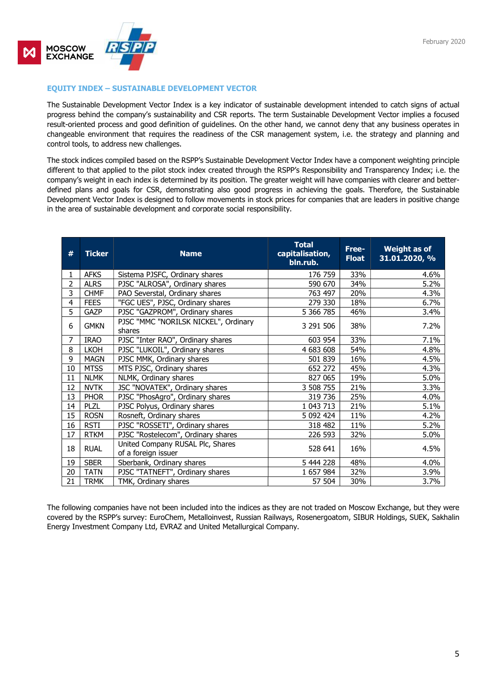

## EQUITY INDEX – SUSTAINABLE DEVELOPMENT VECTOR

The Sustainable Development Vector Index is a key indicator of sustainable development intended to catch signs of actual progress behind the company's sustainability and CSR reports. The term Sustainable Development Vector implies a focused result-oriented process and good definition of guidelines. On the other hand, we cannot deny that any business operates in changeable environment that requires the readiness of the CSR management system, i.e. the strategy and planning and control tools, to address new challenges.

The stock indices compiled based on the RSPP's Sustainable Development Vector Index have a component weighting principle different to that applied to the pilot stock index created through the RSPP's Responsibility and Transparency Index; i.e. the company's weight in each index is determined by its position. The greater weight will have companies with clearer and betterdefined plans and goals for CSR, demonstrating also good progress in achieving the goals. Therefore, the Sustainable Development Vector Index is designed to follow movements in stock prices for companies that are leaders in positive change in the area of sustainable development and corporate social responsibility.

| #  | <b>Ticker</b> | <b>Name</b>                                             | <b>Total</b><br>capitalisation,<br>bln.rub. | Free-<br><b>Float</b> | <b>Weight as of</b><br>31.01.2020, % |
|----|---------------|---------------------------------------------------------|---------------------------------------------|-----------------------|--------------------------------------|
|    | <b>AFKS</b>   | Sistema PJSFC, Ordinary shares                          | 176 759                                     | 33%                   | 4.6%                                 |
| 2  | <b>ALRS</b>   | PJSC "ALROSA", Ordinary shares                          | 590 670                                     | 34%                   | 5.2%                                 |
| 3  | <b>CHMF</b>   | PAO Severstal, Ordinary shares                          | 763 497                                     | 20%                   | 4.3%                                 |
| 4  | <b>FEES</b>   | "FGC UES", PJSC, Ordinary shares                        | 279 330                                     | 18%                   | 6.7%                                 |
| 5  | <b>GAZP</b>   | PJSC "GAZPROM", Ordinary shares                         | 5 366 785                                   | 46%                   | 3.4%                                 |
| 6  | <b>GMKN</b>   | PJSC "MMC "NORILSK NICKEL", Ordinary<br>shares          | 3 291 506                                   | 38%                   | 7.2%                                 |
| 7  | <b>IRAO</b>   | PJSC "Inter RAO", Ordinary shares                       | 603 954                                     | 33%                   | 7.1%                                 |
| 8  | <b>LKOH</b>   | PJSC "LUKOIL", Ordinary shares                          | 4 683 608                                   | 54%                   | 4.8%                                 |
| 9  | <b>MAGN</b>   | PJSC MMK, Ordinary shares                               | 501 839                                     | 16%                   | 4.5%                                 |
| 10 | <b>MTSS</b>   | MTS PJSC, Ordinary shares                               | 652 272                                     | 45%                   | 4.3%                                 |
| 11 | <b>NLMK</b>   | NLMK, Ordinary shares                                   | 827 065                                     | 19%                   | 5.0%                                 |
| 12 | <b>NVTK</b>   | JSC "NOVATEK", Ordinary shares                          | 3 508 755                                   | 21%                   | 3.3%                                 |
| 13 | <b>PHOR</b>   | PJSC "PhosAgro", Ordinary shares                        | 319 736                                     | 25%                   | 4.0%                                 |
| 14 | <b>PLZL</b>   | PJSC Polyus, Ordinary shares                            | 1 043 713                                   | 21%                   | 5.1%                                 |
| 15 | <b>ROSN</b>   | Rosneft, Ordinary shares                                | 5 092 424                                   | 11%                   | 4.2%                                 |
| 16 | <b>RSTI</b>   | PJSC "ROSSETI", Ordinary shares                         | 318 482                                     | 11%                   | 5.2%                                 |
| 17 | <b>RTKM</b>   | PJSC "Rostelecom", Ordinary shares                      | 226 593                                     | 32%                   | 5.0%                                 |
| 18 | <b>RUAL</b>   | United Company RUSAL Plc, Shares<br>of a foreign issuer | 528 641                                     | 16%                   | 4.5%                                 |
| 19 | <b>SBER</b>   | Sberbank, Ordinary shares                               | 5 444 228                                   | 48%                   | 4.0%                                 |
| 20 | <b>TATN</b>   | PJSC "TATNEFT", Ordinary shares                         | 1 657 984                                   | 32%                   | 3.9%                                 |
| 21 | <b>TRMK</b>   | TMK, Ordinary shares                                    | 57 504                                      | 30%                   | 3.7%                                 |

The following companies have not been included into the indices as they are not traded on Moscow Exchange, but they were covered by the RSPP's survey: EuroChem, Metalloinvest, Russian Railways, Rosenergoatom, SIBUR Holdings, SUEK, Sakhalin Energy Investment Company Ltd, EVRAZ and United Metallurgical Company.